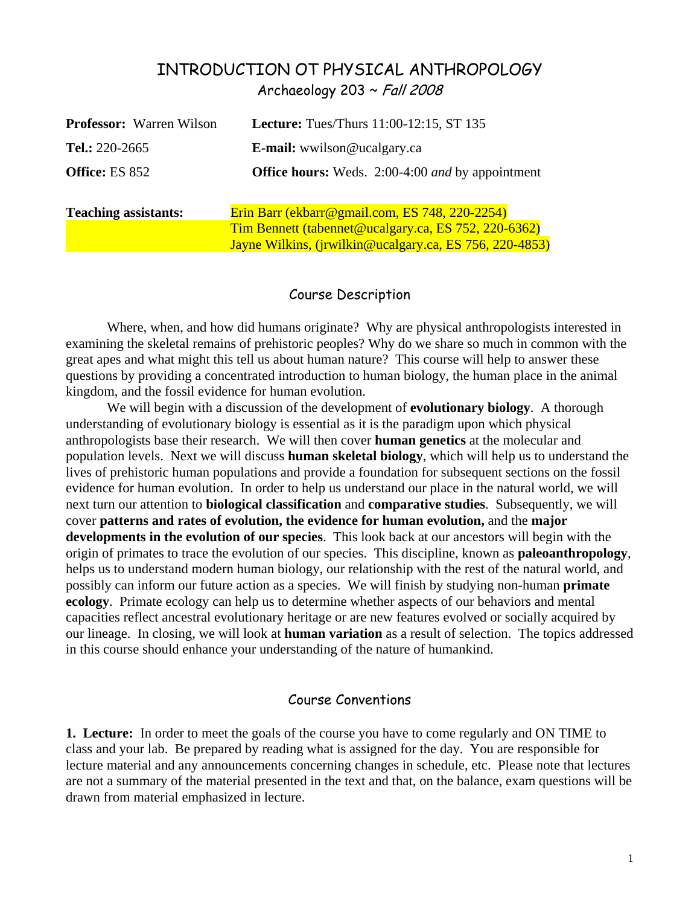# INTRODUCTION OT PHYSICAL ANTHROPOLOGY Archaeology 203  $\sim$  Fall 2008

| <b>Professor:</b> Warren Wilson | <b>Lecture:</b> Tues/Thurs 11:00-12:15, ST 135                                                         |  |  |  |
|---------------------------------|--------------------------------------------------------------------------------------------------------|--|--|--|
| Tel.: 220-2665                  | <b>E-mail:</b> wwilson@ucalgary.ca                                                                     |  |  |  |
| Office: ES 852                  | <b>Office hours:</b> Weds. 2:00-4:00 and by appointment                                                |  |  |  |
| <b>Teaching assistants:</b>     | Erin Barr (ekbarr@gmail.com, ES 748, 220-2254)<br>Tim Bennett (tabennet@ucalgary.ca, ES 752, 220-6362) |  |  |  |
|                                 | Jayne Wilkins, ( <i>jrwilkin@ucalgary.ca, ES 756, 220-4853</i> )                                       |  |  |  |

### Course Description

Where, when, and how did humans originate? Why are physical anthropologists interested in examining the skeletal remains of prehistoric peoples? Why do we share so much in common with the great apes and what might this tell us about human nature? This course will help to answer these questions by providing a concentrated introduction to human biology, the human place in the animal kingdom, and the fossil evidence for human evolution.

We will begin with a discussion of the development of **evolutionary biology**. A thorough understanding of evolutionary biology is essential as it is the paradigm upon which physical anthropologists base their research. We will then cover **human genetics** at the molecular and population levels. Next we will discuss **human skeletal biology**, which will help us to understand the lives of prehistoric human populations and provide a foundation for subsequent sections on the fossil evidence for human evolution. In order to help us understand our place in the natural world, we will next turn our attention to **biological classification** and **comparative studies**. Subsequently, we will cover **patterns and rates of evolution, the evidence for human evolution,** and the **major developments in the evolution of our species**. This look back at our ancestors will begin with the origin of primates to trace the evolution of our species. This discipline, known as **paleoanthropology**, helps us to understand modern human biology, our relationship with the rest of the natural world, and possibly can inform our future action as a species. We will finish by studying non-human **primate ecology**. Primate ecology can help us to determine whether aspects of our behaviors and mental capacities reflect ancestral evolutionary heritage or are new features evolved or socially acquired by our lineage. In closing, we will look at **human variation** as a result of selection. The topics addressed in this course should enhance your understanding of the nature of humankind.

## Course Conventions

**1. Lecture:**In order to meet the goals of the course you have to come regularly and ON TIME to class and your lab. Be prepared by reading what is assigned for the day. You are responsible for lecture material and any announcements concerning changes in schedule, etc. Please note that lectures are not a summary of the material presented in the text and that, on the balance, exam questions will be drawn from material emphasized in lecture.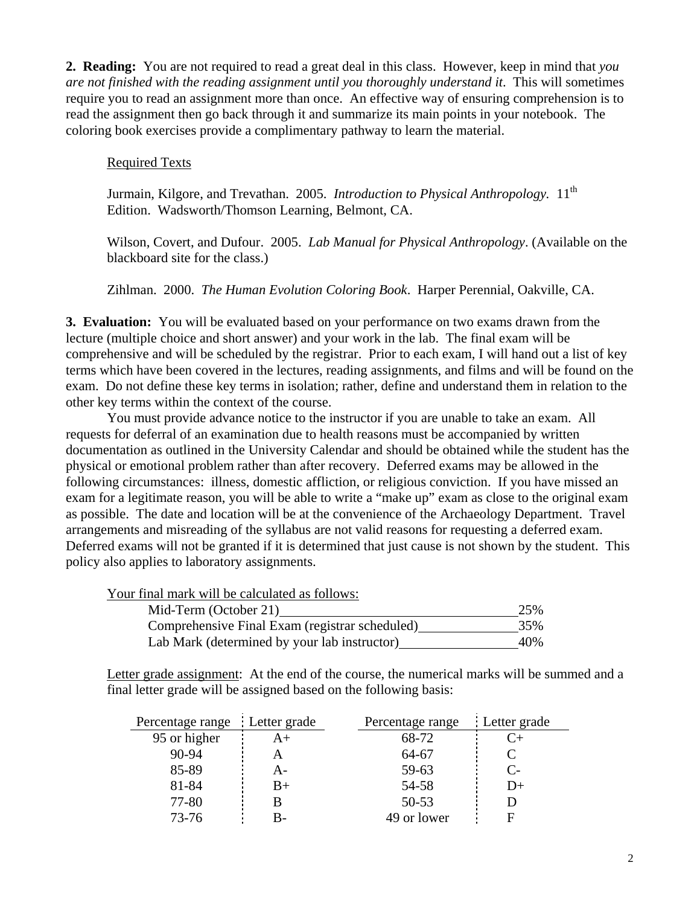**2. Reading:** You are not required to read a great deal in this class. However, keep in mind that *you are not finished with the reading assignment until you thoroughly understand it*. This will sometimes require you to read an assignment more than once. An effective way of ensuring comprehension is to read the assignment then go back through it and summarize its main points in your notebook. The coloring book exercises provide a complimentary pathway to learn the material.

## Required Texts

Jurmain, Kilgore, and Trevathan. 2005. *Introduction to Physical Anthropology*. 11<sup>th</sup> Edition. Wadsworth/Thomson Learning, Belmont, CA.

Wilson, Covert, and Dufour. 2005. *Lab Manual for Physical Anthropology*. (Available on the blackboard site for the class.)

Zihlman. 2000. *The Human Evolution Coloring Book*. Harper Perennial, Oakville, CA.

**3. Evaluation:** You will be evaluated based on your performance on two exams drawn from the lecture (multiple choice and short answer) and your work in the lab. The final exam will be comprehensive and will be scheduled by the registrar. Prior to each exam, I will hand out a list of key terms which have been covered in the lectures, reading assignments, and films and will be found on the exam. Do not define these key terms in isolation; rather, define and understand them in relation to the other key terms within the context of the course.

You must provide advance notice to the instructor if you are unable to take an exam. All requests for deferral of an examination due to health reasons must be accompanied by written documentation as outlined in the University Calendar and should be obtained while the student has the physical or emotional problem rather than after recovery. Deferred exams may be allowed in the following circumstances: illness, domestic affliction, or religious conviction. If you have missed an exam for a legitimate reason, you will be able to write a "make up" exam as close to the original exam as possible. The date and location will be at the convenience of the Archaeology Department. Travel arrangements and misreading of the syllabus are not valid reasons for requesting a deferred exam. Deferred exams will not be granted if it is determined that just cause is not shown by the student. This policy also applies to laboratory assignments.

Your final mark will be calculated as follows:

| Mid-Term (October 21)                          | 25% |
|------------------------------------------------|-----|
| Comprehensive Final Exam (registrar scheduled) | 35% |
| Lab Mark (determined by your lab instructor)   | 40% |

Letter grade assignment: At the end of the course, the numerical marks will be summed and a final letter grade will be assigned based on the following basis:

| : Letter grade<br>Percentage range |    | Percentage range | Letter grade         |
|------------------------------------|----|------------------|----------------------|
| 95 or higher                       | A+ | 68-72            | $C_{\pm}$            |
| $90 - 94$                          |    | 64-67            |                      |
| 85-89                              | А- | 59-63            | $\mathsf{C}\text{-}$ |
| 81-84                              | B+ | 54-58            | $1+$                 |
| 77-80                              |    | $50 - 53$        |                      |
| $73 - 76$                          |    | 49 or lower      |                      |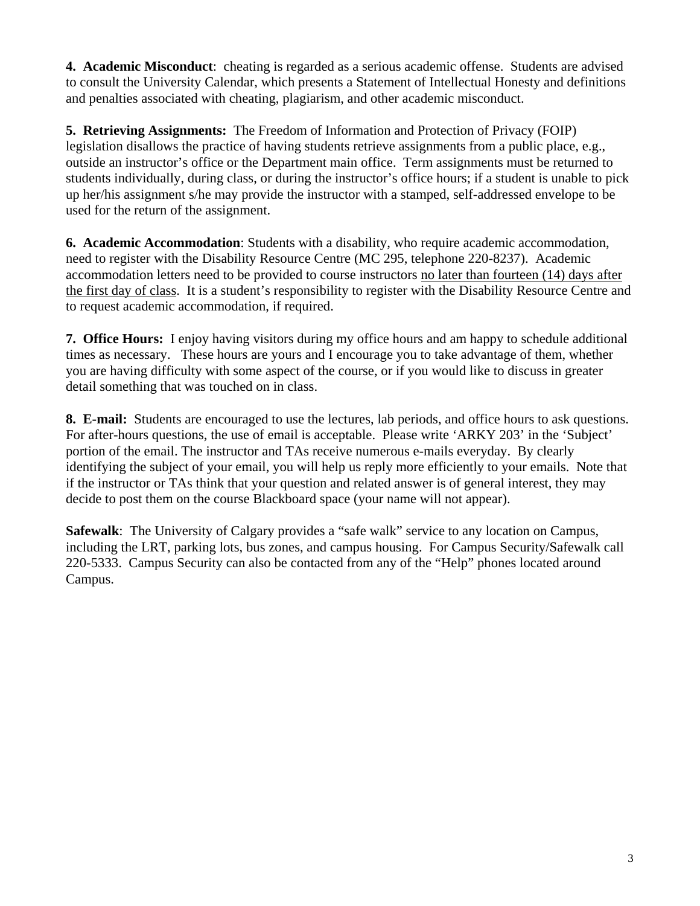**4. Academic Misconduct**: cheating is regarded as a serious academic offense. Students are advised to consult the University Calendar, which presents a Statement of Intellectual Honesty and definitions and penalties associated with cheating, plagiarism, and other academic misconduct.

**5. Retrieving Assignments:** The Freedom of Information and Protection of Privacy (FOIP) legislation disallows the practice of having students retrieve assignments from a public place, e.g., outside an instructor's office or the Department main office. Term assignments must be returned to students individually, during class, or during the instructor's office hours; if a student is unable to pick up her/his assignment s/he may provide the instructor with a stamped, self-addressed envelope to be used for the return of the assignment.

**6. Academic Accommodation**: Students with a disability, who require academic accommodation, need to register with the Disability Resource Centre (MC 295, telephone 220-8237). Academic accommodation letters need to be provided to course instructors no later than fourteen (14) days after the first day of class. It is a student's responsibility to register with the Disability Resource Centre and to request academic accommodation, if required.

**7. Office Hours:**I enjoy having visitors during my office hours and am happy to schedule additional times as necessary. These hours are yours and I encourage you to take advantage of them, whether you are having difficulty with some aspect of the course, or if you would like to discuss in greater detail something that was touched on in class.

**8. E-mail:** Students are encouraged to use the lectures, lab periods, and office hours to ask questions. For after-hours questions, the use of email is acceptable. Please write 'ARKY 203' in the 'Subject' portion of the email. The instructor and TAs receive numerous e-mails everyday. By clearly identifying the subject of your email, you will help us reply more efficiently to your emails. Note that if the instructor or TAs think that your question and related answer is of general interest, they may decide to post them on the course Blackboard space (your name will not appear).

**Safewalk**: The University of Calgary provides a "safe walk" service to any location on Campus, including the LRT, parking lots, bus zones, and campus housing. For Campus Security/Safewalk call 220-5333. Campus Security can also be contacted from any of the "Help" phones located around Campus.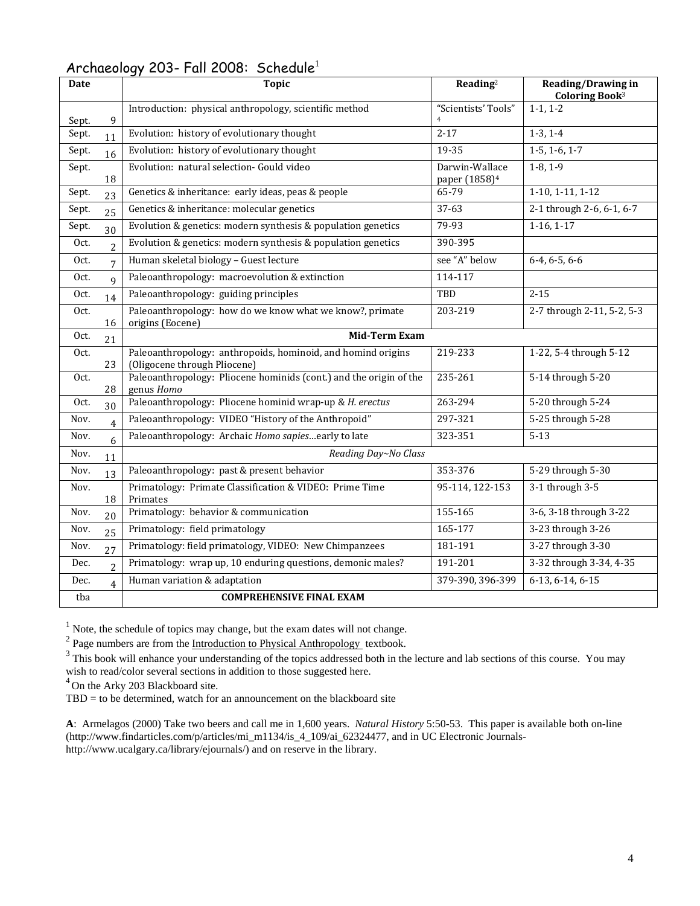| <b>Date</b> |                | $\cdots$<br><b>Topic</b>                                                                     | Reading <sup>2</sup>                        | <b>Reading/Drawing in</b><br>Coloring Book <sup>3</sup> |  |  |
|-------------|----------------|----------------------------------------------------------------------------------------------|---------------------------------------------|---------------------------------------------------------|--|--|
| Sept.       | 9              | Introduction: physical anthropology, scientific method                                       | "Scientists' Tools"<br>$\overline{4}$       | $1-1, 1-2$                                              |  |  |
| Sept.       | 11             | Evolution: history of evolutionary thought                                                   | $2 - 17$                                    | $1-3, 1-4$                                              |  |  |
| Sept.       | 16             | Evolution: history of evolutionary thought                                                   | 19-35                                       | $1 - 5, 1 - 6, 1 - 7$                                   |  |  |
| Sept.       | 18             | Evolution: natural selection- Gould video                                                    | Darwin-Wallace<br>paper (1858) <sup>4</sup> | $1-8, 1-9$                                              |  |  |
| Sept.       | 23             | Genetics & inheritance: early ideas, peas & people                                           | 65-79                                       | $1-10, 1-11, 1-12$                                      |  |  |
| Sept.       | 25             | Genetics & inheritance: molecular genetics                                                   | 37-63                                       | 2-1 through 2-6, 6-1, 6-7                               |  |  |
| Sept.       | 30             | Evolution & genetics: modern synthesis & population genetics                                 | 79-93                                       | $1-16, 1-17$                                            |  |  |
| Oct.        | $\overline{c}$ | Evolution & genetics: modern synthesis & population genetics                                 | 390-395                                     |                                                         |  |  |
| Oct.        | 7              | Human skeletal biology - Guest lecture                                                       | see "A" below                               | $6-4, 6-5, 6-6$                                         |  |  |
| Oct.        | 9              | Paleoanthropology: macroevolution & extinction                                               | 114-117                                     |                                                         |  |  |
| Oct.        | 14             | Paleoanthropology: guiding principles                                                        | TBD                                         | $2 - 15$                                                |  |  |
| Oct.        | 16             | Paleoanthropology: how do we know what we know?, primate<br>origins (Eocene)                 | 203-219                                     | 2-7 through 2-11, 5-2, 5-3                              |  |  |
| Oct.        | 21             | <b>Mid-Term Exam</b>                                                                         |                                             |                                                         |  |  |
| Oct.        | 23             | Paleoanthropology: anthropoids, hominoid, and homind origins<br>(Oligocene through Pliocene) | 219-233                                     | 1-22, 5-4 through 5-12                                  |  |  |
| Oct.        | 28             | Paleoanthropology: Pliocene hominids (cont.) and the origin of the<br>genus Homo             | 235-261                                     | 5-14 through 5-20                                       |  |  |
| Oct.        | 30             | Paleoanthropology: Pliocene hominid wrap-up & H. erectus                                     | 263-294                                     | 5-20 through 5-24                                       |  |  |
| Nov.        | 4              | Paleoanthropology: VIDEO "History of the Anthropoid"                                         | 297-321                                     | 5-25 through 5-28                                       |  |  |
| Nov.        | 6              | Paleoanthropology: Archaic Homo sapiesearly to late                                          | 323-351                                     | $5 - 13$                                                |  |  |
| Nov.        | 11             | Reading Day~No Class                                                                         |                                             |                                                         |  |  |
| Nov.        | 13             | Paleoanthropology: past & present behavior                                                   | 353-376                                     | 5-29 through 5-30                                       |  |  |
| Nov.        | 18             | Primatology: Primate Classification & VIDEO: Prime Time<br>Primates                          | 95-114, 122-153                             | 3-1 through 3-5                                         |  |  |
| Nov.        | 20             | Primatology: behavior & communication                                                        | 155-165                                     | 3-6, 3-18 through 3-22                                  |  |  |
| Nov.        | 25             | Primatology: field primatology                                                               | 165-177                                     | 3-23 through 3-26                                       |  |  |
| Nov.        | 27             | Primatology: field primatology, VIDEO: New Chimpanzees                                       | 181-191                                     | 3-27 through 3-30                                       |  |  |
| Dec.        | $\overline{2}$ | Primatology: wrap up, 10 enduring questions, demonic males?                                  | 191-201                                     | 3-32 through 3-34, 4-35                                 |  |  |
| Dec.        | 4              | Human variation & adaptation                                                                 | 379-390, 396-399                            | $6-13, 6-14, 6-15$                                      |  |  |
| tba         |                | <b>COMPREHENSIVE FINAL EXAM</b>                                                              |                                             |                                                         |  |  |

## Archaeology 203- Fall 2008: Schedule<sup>1</sup>

<sup>1</sup> Note, the schedule of topics may change, but the exam dates will not change.<br><sup>2</sup> Page numbers are from the <u>Introduction to Physical Anthropology</u> textbook.

 $3$  This book will enhance your understanding of the topics addressed both in the lecture and lab sections of this course. You may wish to read/color several sections in addition to those suggested here.

<sup>4</sup> On the Arky 203 Blackboard site.

 $TBD =$  to be determined, watch for an announcement on the blackboard site

**A**: Armelagos (2000) Take two beers and call me in 1,600 years. *Natural History* 5:50-53. This paper is available both on-line (http://www.findarticles.com/p/articles/mi\_m1134/is\_4\_109/ai\_62324477, and in UC Electronic Journalshttp://www.ucalgary.ca/library/ejournals/) and on reserve in the library.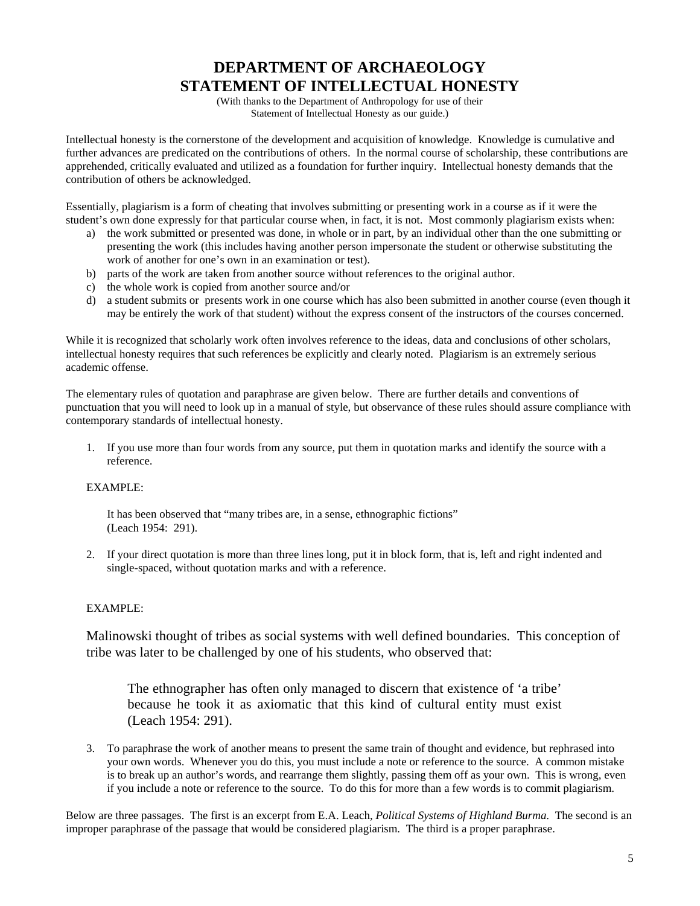# **DEPARTMENT OF ARCHAEOLOGY STATEMENT OF INTELLECTUAL HONESTY**

(With thanks to the Department of Anthropology for use of their Statement of Intellectual Honesty as our guide.)

Intellectual honesty is the cornerstone of the development and acquisition of knowledge. Knowledge is cumulative and further advances are predicated on the contributions of others. In the normal course of scholarship, these contributions are apprehended, critically evaluated and utilized as a foundation for further inquiry. Intellectual honesty demands that the contribution of others be acknowledged.

Essentially, plagiarism is a form of cheating that involves submitting or presenting work in a course as if it were the student's own done expressly for that particular course when, in fact, it is not. Most commonly plagiarism exists when:

- a) the work submitted or presented was done, in whole or in part, by an individual other than the one submitting or presenting the work (this includes having another person impersonate the student or otherwise substituting the work of another for one's own in an examination or test).
- b) parts of the work are taken from another source without references to the original author.
- c) the whole work is copied from another source and/or
- d) a student submits or presents work in one course which has also been submitted in another course (even though it may be entirely the work of that student) without the express consent of the instructors of the courses concerned.

While it is recognized that scholarly work often involves reference to the ideas, data and conclusions of other scholars, intellectual honesty requires that such references be explicitly and clearly noted. Plagiarism is an extremely serious academic offense.

The elementary rules of quotation and paraphrase are given below. There are further details and conventions of punctuation that you will need to look up in a manual of style, but observance of these rules should assure compliance with contemporary standards of intellectual honesty.

1. If you use more than four words from any source, put them in quotation marks and identify the source with a reference.

### EXAMPLE:

It has been observed that "many tribes are, in a sense, ethnographic fictions" (Leach 1954: 291).

2. If your direct quotation is more than three lines long, put it in block form, that is, left and right indented and single-spaced, without quotation marks and with a reference.

### EXAMPLE:

Malinowski thought of tribes as social systems with well defined boundaries. This conception of tribe was later to be challenged by one of his students, who observed that:

The ethnographer has often only managed to discern that existence of 'a tribe' because he took it as axiomatic that this kind of cultural entity must exist (Leach 1954: 291).

3. To paraphrase the work of another means to present the same train of thought and evidence, but rephrased into your own words. Whenever you do this, you must include a note or reference to the source. A common mistake is to break up an author's words, and rearrange them slightly, passing them off as your own. This is wrong, even if you include a note or reference to the source. To do this for more than a few words is to commit plagiarism.

Below are three passages. The first is an excerpt from E.A. Leach, *Political Systems of Highland Burma*. The second is an improper paraphrase of the passage that would be considered plagiarism. The third is a proper paraphrase.